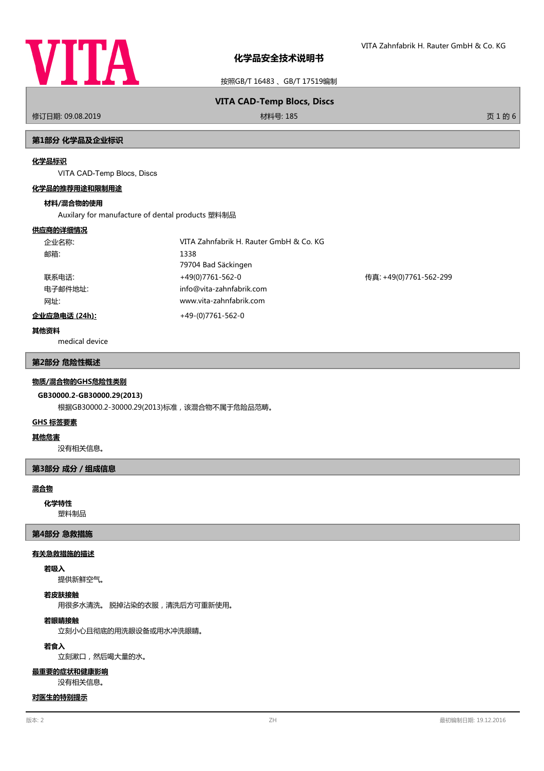

按照GB/T 16483 、GB/T 17519编制

修订日期: 09.08.2019 材料号: 185 页 1 的 6

# **VITA CAD-Temp Blocs, Discs**

# **第1部分 化学品及企业标识**

#### **化学品标识**

VITA CAD-Temp Blocs, Discs

#### **化学品的推荐用途和限制用途**

#### **材料/混合物的使用**

Auxilary for manufacture of dental products 塑料制品

#### **供应商的详细情况**

| 企业名称:                 | VITA Zahnfabrik H. Rauter GmbH & Co. KG |                        |
|-----------------------|-----------------------------------------|------------------------|
| 邮箱:                   | 1338                                    |                        |
|                       | 79704 Bad Säckingen                     |                        |
| 联系电话:                 | +49(0)7761-562-0                        | 传真: +49(0)7761-562-299 |
| 电子邮件地址:               | info@vita-zahnfabrik.com                |                        |
| 网址:                   | www.vita-zahnfabrik.com                 |                        |
| <u> 企业应急电话 (24h):</u> | +49-(0)7761-562-0                       |                        |

#### **其他资料**

medical device

# **第2部分 危险性概述**

#### **物质/混合物的GHS危险性类别**

# **GB30000.2-GB30000.29(2013)**

根据GB30000.2-30000.29(2013)标准,该混合物不属于危险品范畴。

#### **GHS 标签要素**

#### **其他危害**

没有相关信息。

# **第3部分 成分/组成信息**

# **混合物**

**化学特性**

塑料制品

# **第4部分 急救措施**

#### **有关急救措施的描述**

# **若吸入**

提供新鲜空气。

# **若皮肤接触**

用很多水清洗。 脱掉沾染的衣服,清洗后方可重新使用。

# **若眼睛接触**

立刻小心且彻底的用洗眼设备或用水冲洗眼睛。

# **若食入**

立刻漱口,然后喝大量的水。

#### **最重要的症状和健康影响**

没有相关信息。

# **对医生的特别提示**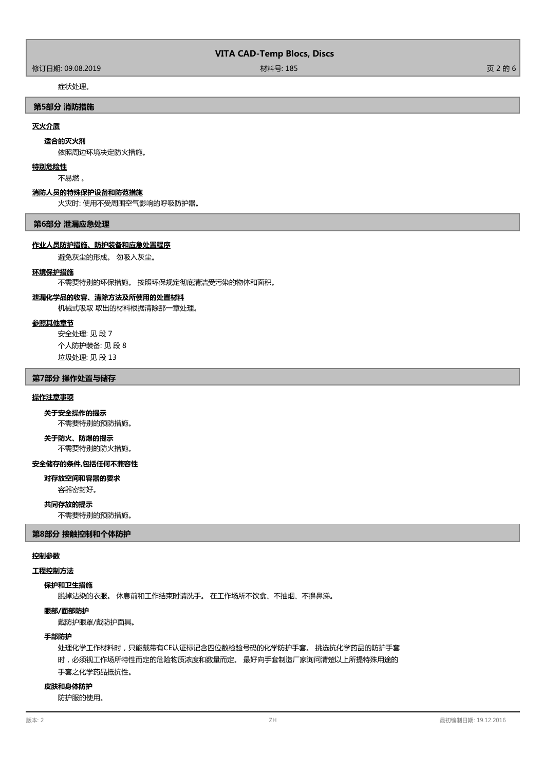# **VITA CAD-Temp Blocs, Discs**

修订日期: 09.08.2019 材料号: 185 页 2 的 6

# 症状处理。

# **第5部分 消防措施**

# **灭火介质**

#### **适合的灭火剂**

依照周边环境决定防火措施。

#### **特别危险性**

不易燃 。

#### **消防人员的特殊保护设备和防范措施**

火灾时: 使用不受周围空气影响的呼吸防护器。

#### **第6部分 泄漏应急处理**

#### **作业人员防护措施、防护装备和应急处置程序**

避免灰尘的形成。 勿吸入灰尘。

#### **环境保护措施**

不需要特别的环保措施。 按照环保规定彻底清洁受污染的物体和面积。

# **泄漏化学品的收容、清除方法及所使用的处置材料**

机械式吸取 取出的材料根据清除那一章处理。

# **参照其他章节**

安全处理: 见 段 7 个人防护装备: 见 段 8 垃圾处理: 见 段 13

# **第7部分 操作处置与储存**

# **操作注意事项**

不需要特别的预防措施。 **关于安全操作的提示**

# **关于防火、防爆的提示**

不需要特别的防火措施。

#### **安全储存的条件,包括任何不兼容性**

**对存放空间和容器的要求**

容器密封好。

# **共同存放的提示**

不需要特别的预防措施。

#### **第8部分 接触控制和个体防护**

# **控制参数**

# **工程控制方法**

# **保护和卫生措施**

脱掉沾染的衣服。 休息前和工作结束时请洗手。 在工作场所不饮食、不抽烟、不擤鼻涕。

**眼部/面部防护**

戴防护眼罩/戴防护面具。

# **手部防护**

处理化学工作材料时,只能戴带有CE认证标记含四位数检验号码的化学防护手套。 挑选抗化学药品的防护手套 时,必须视工作场所特性而定的危险物质浓度和数量而定。 最好向手套制造厂家询问清楚以上所提特殊用途的 手套之化学药品抵抗性。

# **皮肤和身体防护**

防护服的使用。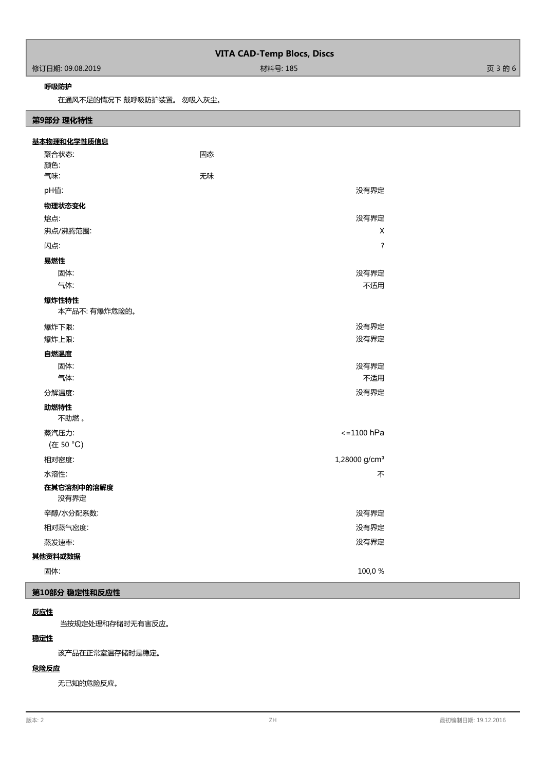| <b>VITA CAD-Temp Blocs, Discs</b> |          |         |
|-----------------------------------|----------|---------|
| 修订日期: 09.08.2019                  | 材料号: 185 | 页 3 的 6 |

# **呼吸防护**

Г

在通风不足的情况下 戴呼吸防护装置。 勿吸入灰尘。

# **第9部分 理化特性**

| 基本物理和化学性质信息        |                           |  |
|--------------------|---------------------------|--|
| 聚合状态:              | 固态                        |  |
| 颜色:                |                           |  |
| 气味:                | 无味                        |  |
| pH值:               | 没有界定                      |  |
| 物理状态变化             |                           |  |
| 熔点:                | 没有界定                      |  |
| 沸点/沸腾范围:           | X                         |  |
| 闪点:                | $\ddot{?}$                |  |
| 易燃性                |                           |  |
| 固体:                | 没有界定                      |  |
| 气体:                | 不适用                       |  |
| 爆炸性特性              |                           |  |
| 本产品不: 有爆炸危险的。      |                           |  |
| 爆炸下限:              | 没有界定                      |  |
| 爆炸上限:              | 没有界定                      |  |
| 自燃温度               |                           |  |
| 固体:                | 没有界定                      |  |
| 气体:                | 不适用                       |  |
| 分解温度:              | 没有界定                      |  |
| 助燃特性               |                           |  |
| 不助燃。               |                           |  |
| 蒸汽压力:              | $\epsilon = 1100$ hPa     |  |
| (在 50 °C)          |                           |  |
| 相对密度:              | 1,28000 g/cm <sup>3</sup> |  |
| 水溶性:               | 不                         |  |
| 在其它溶剂中的溶解度<br>没有界定 |                           |  |
| 辛醇/水分配系数:          | 没有界定                      |  |
| 相对蒸气密度:            | 没有界定                      |  |
| 蒸发速率:              | 没有界定                      |  |
| 其他资料或数据            |                           |  |
| 固体:                | 100,0%                    |  |

# **第10部分 稳定性和反应性**

# **反应性**

当按规定处理和存储时无有害反应。

# **稳定性**

该产品在正常室温存储时是稳定。

# **危险反应**

无已知的危险反应。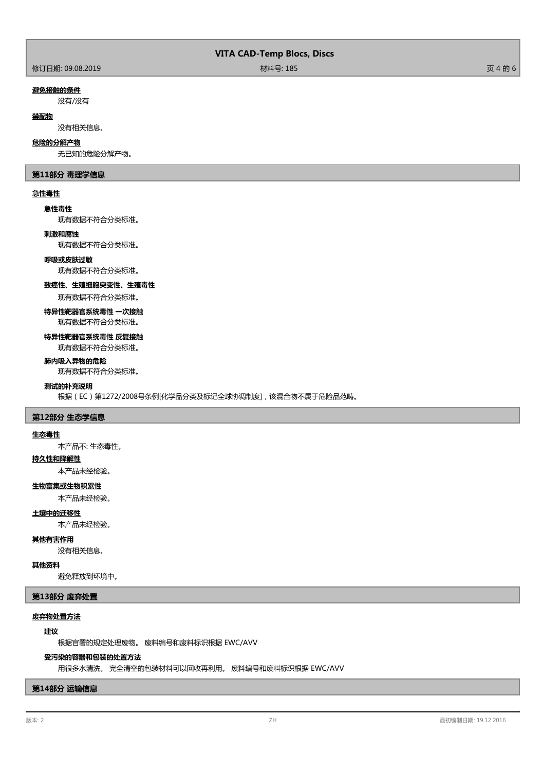|  |  | <b>VITA CAD-Temp Blocs, Discs</b> |  |  |
|--|--|-----------------------------------|--|--|
|--|--|-----------------------------------|--|--|

#### **避免接触的条件**

没有/没有

# **禁配物**

没有相关信息。

#### **危险的分解产物**

无已知的危险分解产物。

# **第11部分 毒理学信息**

# **急性毒性**

**急性毒性**

现有数据不符合分类标准。

## **刺激和腐蚀**

现有数据不符合分类标准。

# **呼吸或皮肤过敏**

现有数据不符合分类标准。

#### **致癌性、生殖细胞突变性、生殖毒性**

现有数据不符合分类标准。

# **特异性靶器官系统毒性 一次接触** 现有数据不符合分类标准。

**特异性靶器官系统毒性 反复接触**

# 现有数据不符合分类标准。

**肺内吸入异物的危险**

#### 现有数据不符合分类标准。

# **测试的补充说明**

根据(EC)第1272/2008号条例[化学品分类及标记全球协调制度],该混合物不属于危险品范畴。

# **第12部分 生态学信息**

#### **生态毒性**

本产品不: 生态毒性。

# **持久性和降解性**

本产品未经检验。

# **生物富集或生物积累性**

本产品未经检验。

# **土壤中的迁移性**

本产品未经检验。

# **其他有害作用**

没有相关信息。

# **其他资料**

避免释放到环境中。

# **第13部分 废弃处置**

# **废弃物处置方法**

# **建议**

根据官署的规定处理废物。 废料编号和废料标识根据 EWC/AVV

# **受污染的容器和包装的处置方法**

用很多水清洗。 完全清空的包装材料可以回收再利用。 废料编号和废料标识根据 EWC/AVV

# **第14部分 运输信息**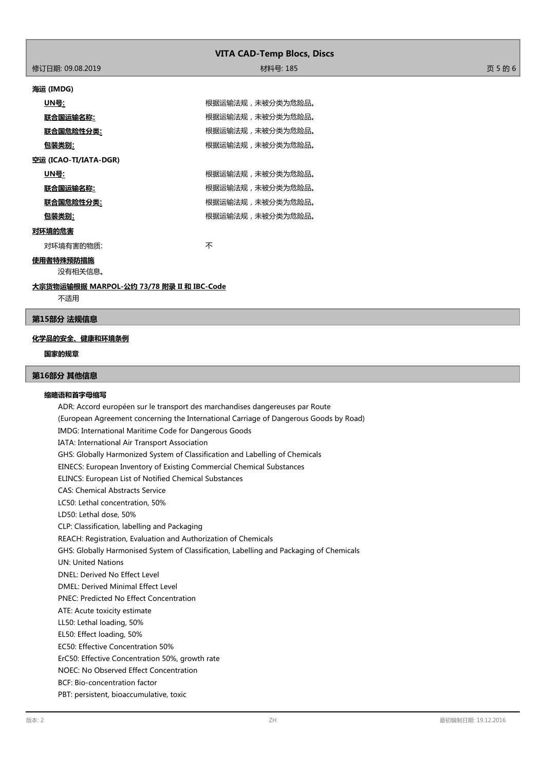| <b>VITA CAD-Temp Blocs, Discs</b> |          |         |
|-----------------------------------|----------|---------|
| 修订日期: 09.08.2019                  | 材料号: 185 | 页 5 的 6 |
| 海运 (IMDG)                         |          |         |

| UN号:                  | 根据运输法规,未被分类为危险品。 |
|-----------------------|------------------|
| 联合国运输名称:              | 根据运输法规,未被分类为危险品。 |
| 联合国危险性分类:             | 根据运输法规,未被分类为危险品。 |
| 包装类别:                 | 根据运输法规,未被分类为危险品。 |
| 空运 (ICAO-TI/IATA-DGR) |                  |
| UN号:                  | 根据运输法规,未被分类为危险品。 |
| 联合国运输名称:              | 根据运输法规,未被分类为危险品。 |
| 联合国危险性分类:             | 根据运输法规,未被分类为危险品。 |
| 包装类别:                 | 根据运输法规,未被分类为危险品。 |
| 对环境的危害                |                  |

# **对**

对环境有害的物质: カランド インファイル アイスト 不安

# **使用者特殊预防措施**

没有相关信息。

**大宗货物运输根据 MARPOL-公约 73/78 附录 II 和 IBC-Code**

不适用

# **第15部分 法规信息**

#### **化学品的安全、健康和环境条例**

#### **国家的规章**

# **第16部分 其他信息**

#### **缩略语和首字母缩写**

ADR: Accord européen sur le transport des marchandises dangereuses par Route (European Agreement concerning the International Carriage of Dangerous Goods by Road) IMDG: International Maritime Code for Dangerous Goods IATA: International Air Transport Association GHS: Globally Harmonized System of Classification and Labelling of Chemicals EINECS: European Inventory of Existing Commercial Chemical Substances ELINCS: European List of Notified Chemical Substances CAS: Chemical Abstracts Service LC50: Lethal concentration, 50% LD50: Lethal dose, 50% CLP: Classification, labelling and Packaging REACH: Registration, Evaluation and Authorization of Chemicals GHS: Globally Harmonised System of Classification, Labelling and Packaging of Chemicals UN: United Nations DNEL: Derived No Effect Level DMEL: Derived Minimal Effect Level PNEC: Predicted No Effect Concentration ATE: Acute toxicity estimate LL50: Lethal loading, 50% EL50: Effect loading, 50% EC50: Effective Concentration 50% ErC50: Effective Concentration 50%, growth rate NOEC: No Observed Effect Concentration BCF: Bio-concentration factor PBT: persistent, bioaccumulative, toxic